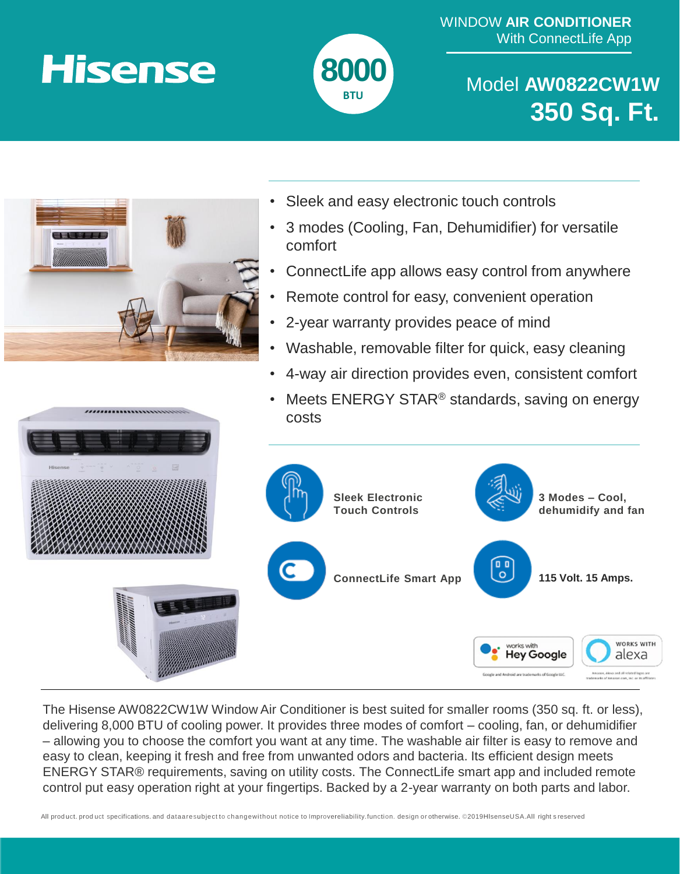WINDOW **AIR CONDITIONER** With ConnectLife App

## **Hisense**



Model **AW0822CW1W 350 Sq. Ft.** 



- Sleek and easy electronic touch controls
- 3 modes (Cooling, Fan, Dehumidifier) for versatile comfort
- ConnectLife app allows easy control from anywhere
- Remote control for easy, convenient operation
- 2-year warranty provides peace of mind
- Washable, removable filter for quick, easy cleaning
- 4-way air direction provides even, consistent comfort





The Hisense AW0822CW1W Window Air Conditioner is best suited for smaller rooms (350 sq. ft. or less), delivering 8,000 BTU of cooling power. It provides three modes of comfort – cooling, fan, or dehumidifier – allowing you to choose the comfort you want at any time. The washable air filter is easy to remove and easy to clean, keeping it fresh and free from unwanted odors and bacteria. Its efficient design meets ENERGY STAR® requirements, saving on utility costs. The ConnectLife smart app and included remote control put easy operation right at your fingertips. Backed by a 2-year warranty on both parts and labor.